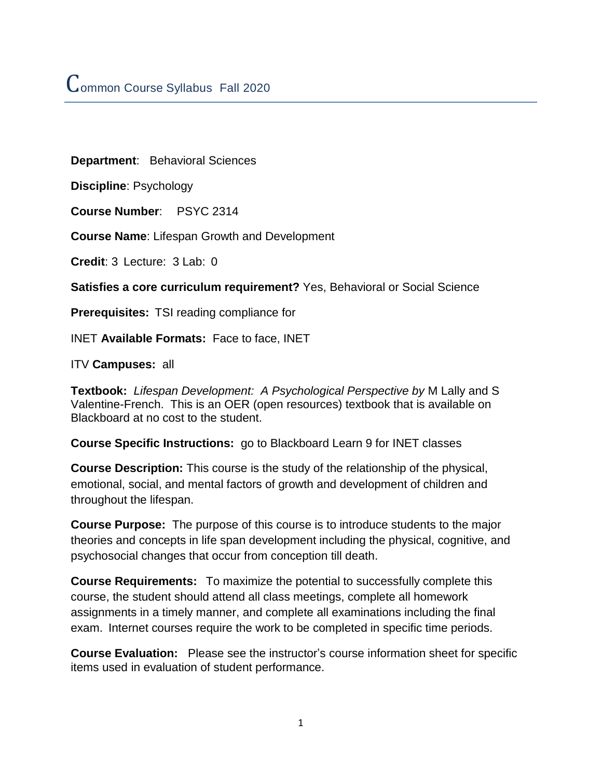**Department**: Behavioral Sciences

**Discipline**: Psychology

**Course Number**: PSYC 2314

**Course Name**: Lifespan Growth and Development

**Credit**: 3 Lecture: 3 Lab: 0

**Satisfies a core curriculum requirement?** Yes, Behavioral or Social Science

**Prerequisites:** TSI reading compliance for

INET **Available Formats:** Face to face, INET

ITV **Campuses:** all

**Textbook:** *Lifespan Development: A Psychological Perspective by* M Lally and S Valentine-French. This is an OER (open resources) textbook that is available on Blackboard at no cost to the student.

**Course Specific Instructions:** go to Blackboard Learn 9 for INET classes

**Course Description:** This course is the study of the relationship of the physical, emotional, social, and mental factors of growth and development of children and throughout the lifespan.

**Course Purpose:** The purpose of this course is to introduce students to the major theories and concepts in life span development including the physical, cognitive, and psychosocial changes that occur from conception till death.

**Course Requirements:** To maximize the potential to successfully complete this course, the student should attend all class meetings, complete all homework assignments in a timely manner, and complete all examinations including the final exam. Internet courses require the work to be completed in specific time periods.

**Course Evaluation:** Please see the instructor's course information sheet for specific items used in evaluation of student performance.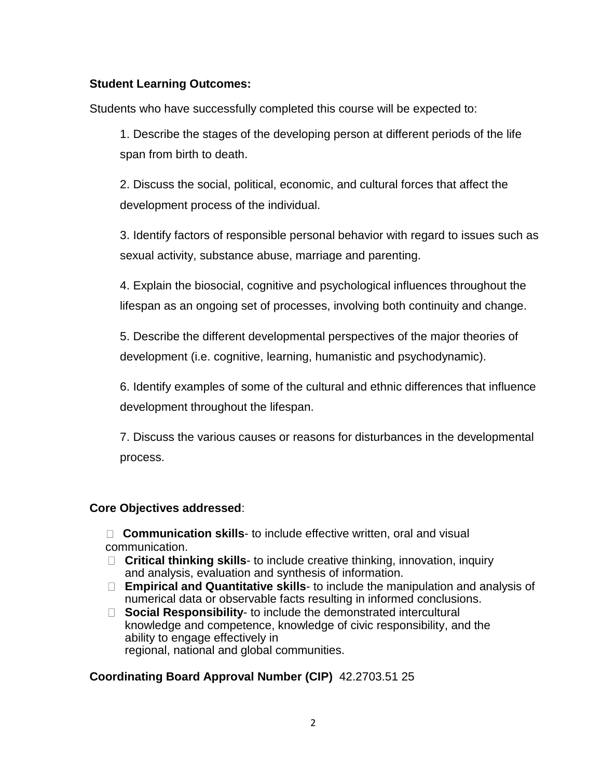## **Student Learning Outcomes:**

Students who have successfully completed this course will be expected to:

1. Describe the stages of the developing person at different periods of the life span from birth to death.

2. Discuss the social, political, economic, and cultural forces that affect the development process of the individual.

3. Identify factors of responsible personal behavior with regard to issues such as sexual activity, substance abuse, marriage and parenting.

4. Explain the biosocial, cognitive and psychological influences throughout the lifespan as an ongoing set of processes, involving both continuity and change.

5. Describe the different developmental perspectives of the major theories of development (i.e. cognitive, learning, humanistic and psychodynamic).

6. Identify examples of some of the cultural and ethnic differences that influence development throughout the lifespan.

7. Discuss the various causes or reasons for disturbances in the developmental process.

#### **Core Objectives addressed**:

□ **Communication skills**- to include effective written, oral and visual communication.

- **Critical thinking skills** to include creative thinking, innovation, inquiry and analysis, evaluation and synthesis of information.
- **Empirical and Quantitative skills** to include the manipulation and analysis of numerical data or observable facts resulting in informed conclusions.
- **Social Responsibility** to include the demonstrated intercultural knowledge and competence, knowledge of civic responsibility, and the ability to engage effectively in regional, national and global communities.

# **Coordinating Board Approval Number (CIP)** 42.2703.51 25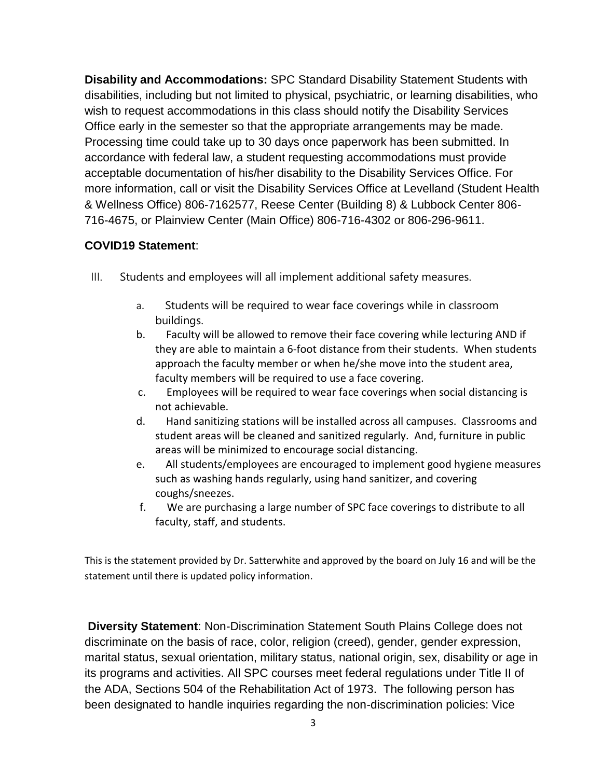**Disability and Accommodations:** SPC Standard Disability Statement Students with disabilities, including but not limited to physical, psychiatric, or learning disabilities, who wish to request accommodations in this class should notify the Disability Services Office early in the semester so that the appropriate arrangements may be made. Processing time could take up to 30 days once paperwork has been submitted. In accordance with federal law, a student requesting accommodations must provide acceptable documentation of his/her disability to the Disability Services Office. For more information, call or visit the Disability Services Office at Levelland (Student Health & Wellness Office) 806-7162577, Reese Center (Building 8) & Lubbock Center 806- 716-4675, or Plainview Center (Main Office) 806-716-4302 or 806-296-9611.

#### **COVID19 Statement**:

- III. Students and employees will all implement additional safety measures.
	- a. Students will be required to wear face coverings while in classroom buildings.
	- b. Faculty will be allowed to remove their face covering while lecturing AND if they are able to maintain a 6-foot distance from their students. When students approach the faculty member or when he/she move into the student area, faculty members will be required to use a face covering.
	- c. Employees will be required to wear face coverings when social distancing is not achievable.
	- d. Hand sanitizing stations will be installed across all campuses. Classrooms and student areas will be cleaned and sanitized regularly. And, furniture in public areas will be minimized to encourage social distancing.
	- e. All students/employees are encouraged to implement good hygiene measures such as washing hands regularly, using hand sanitizer, and covering coughs/sneezes.
	- f. We are purchasing a large number of SPC face coverings to distribute to all faculty, staff, and students.

This is the statement provided by Dr. Satterwhite and approved by the board on July 16 and will be the statement until there is updated policy information.

**Diversity Statement**: Non-Discrimination Statement South Plains College does not discriminate on the basis of race, color, religion (creed), gender, gender expression, marital status, sexual orientation, military status, national origin, sex, disability or age in its programs and activities. All SPC courses meet federal regulations under Title II of the ADA, Sections 504 of the Rehabilitation Act of 1973. The following person has been designated to handle inquiries regarding the non-discrimination policies: Vice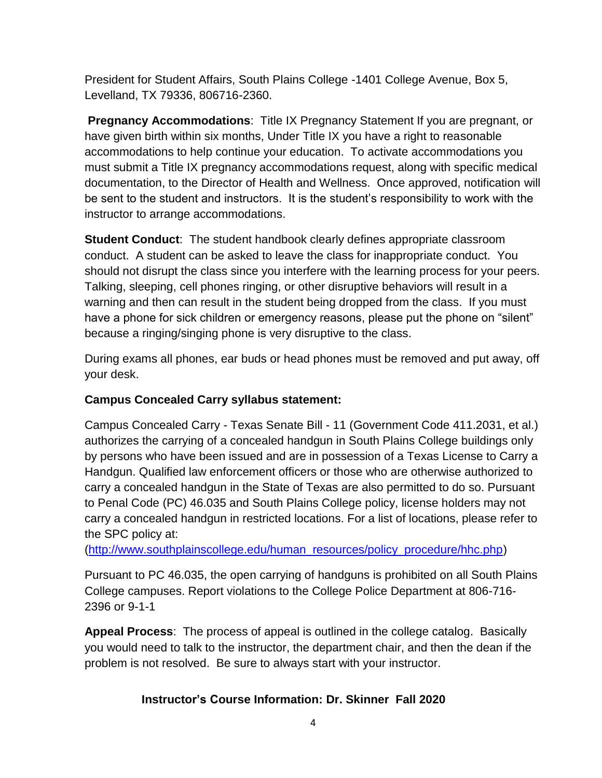President for Student Affairs, South Plains College -1401 College Avenue, Box 5, Levelland, TX 79336, 806716-2360.

**Pregnancy Accommodations**: Title IX Pregnancy Statement If you are pregnant, or have given birth within six months, Under Title IX you have a right to reasonable accommodations to help continue your education. To activate accommodations you must submit a Title IX pregnancy accommodations request, along with specific medical documentation, to the Director of Health and Wellness. Once approved, notification will be sent to the student and instructors. It is the student's responsibility to work with the instructor to arrange accommodations.

**Student Conduct**: The student handbook clearly defines appropriate classroom conduct. A student can be asked to leave the class for inappropriate conduct. You should not disrupt the class since you interfere with the learning process for your peers. Talking, sleeping, cell phones ringing, or other disruptive behaviors will result in a warning and then can result in the student being dropped from the class. If you must have a phone for sick children or emergency reasons, please put the phone on "silent" because a ringing/singing phone is very disruptive to the class.

During exams all phones, ear buds or head phones must be removed and put away, off your desk.

# **Campus Concealed Carry syllabus statement:**

Campus Concealed Carry - Texas Senate Bill - 11 (Government Code 411.2031, et al.) authorizes the carrying of a concealed handgun in South Plains College buildings only by persons who have been issued and are in possession of a Texas License to Carry a Handgun. Qualified law enforcement officers or those who are otherwise authorized to carry a concealed handgun in the State of Texas are also permitted to do so. Pursuant to Penal Code (PC) 46.035 and South Plains College policy, license holders may not carry a concealed handgun in restricted locations. For a list of locations, please refer to the SPC policy at:

[\(http://www.southplainscollege.edu/human\\_resources/policy\\_procedure/hhc.php\)](http://www.southplainscollege.edu/human_resources/policy_procedure/hhc.php)

Pursuant to PC 46.035, the open carrying of handguns is prohibited on all South Plains College campuses. Report violations to the College Police Department at 806-716- 2396 or 9-1-1

**Appeal Process**: The process of appeal is outlined in the college catalog. Basically you would need to talk to the instructor, the department chair, and then the dean if the problem is not resolved. Be sure to always start with your instructor.

# **Instructor's Course Information: Dr. Skinner Fall 2020**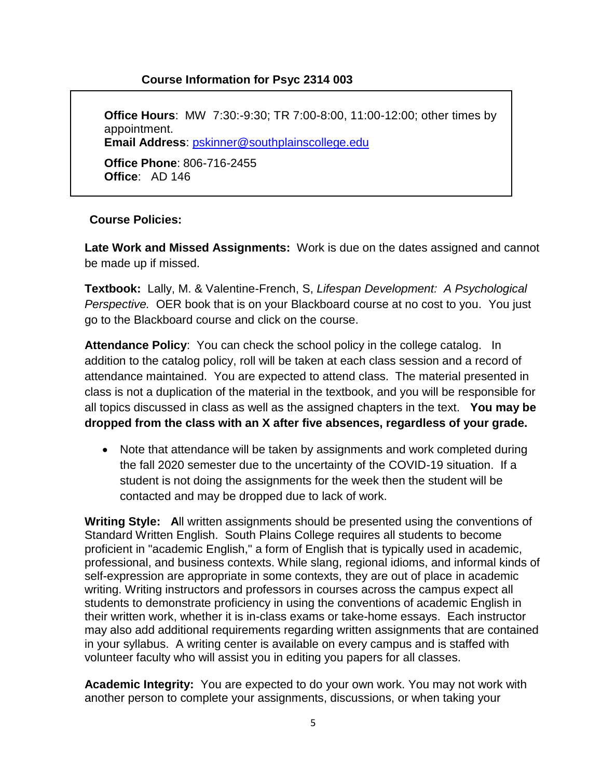## **Course Information for Psyc 2314 003**

**Office Hours**: MW 7:30:-9:30; TR 7:00-8:00, 11:00-12:00; other times by appointment. **Email Address**: [pskinner@southplainscollege.edu](mailto:pskinner@southplainscollege.edu) **Office Phone**: 806-716-2455 **Office**: AD 146

#### **Course Policies:**

**Late Work and Missed Assignments:** Work is due on the dates assigned and cannot be made up if missed.

**Textbook:** Lally, M. & Valentine-French, S, *Lifespan Development: A Psychological Perspective.* OER book that is on your Blackboard course at no cost to you. You just go to the Blackboard course and click on the course.

**Attendance Policy**: You can check the school policy in the college catalog. In addition to the catalog policy, roll will be taken at each class session and a record of attendance maintained. You are expected to attend class. The material presented in class is not a duplication of the material in the textbook, and you will be responsible for all topics discussed in class as well as the assigned chapters in the text. **You may be dropped from the class with an X after five absences, regardless of your grade.**

• Note that attendance will be taken by assignments and work completed during the fall 2020 semester due to the uncertainty of the COVID-19 situation. If a student is not doing the assignments for the week then the student will be contacted and may be dropped due to lack of work.

**Writing Style: A**ll written assignments should be presented using the conventions of Standard Written English. South Plains College requires all students to become proficient in "academic English," a form of English that is typically used in academic, professional, and business contexts. While slang, regional idioms, and informal kinds of self-expression are appropriate in some contexts, they are out of place in academic writing. Writing instructors and professors in courses across the campus expect all students to demonstrate proficiency in using the conventions of academic English in their written work, whether it is in-class exams or take-home essays. Each instructor may also add additional requirements regarding written assignments that are contained in your syllabus. A writing center is available on every campus and is staffed with volunteer faculty who will assist you in editing you papers for all classes.

**Academic Integrity:** You are expected to do your own work. You may not work with another person to complete your assignments, discussions, or when taking your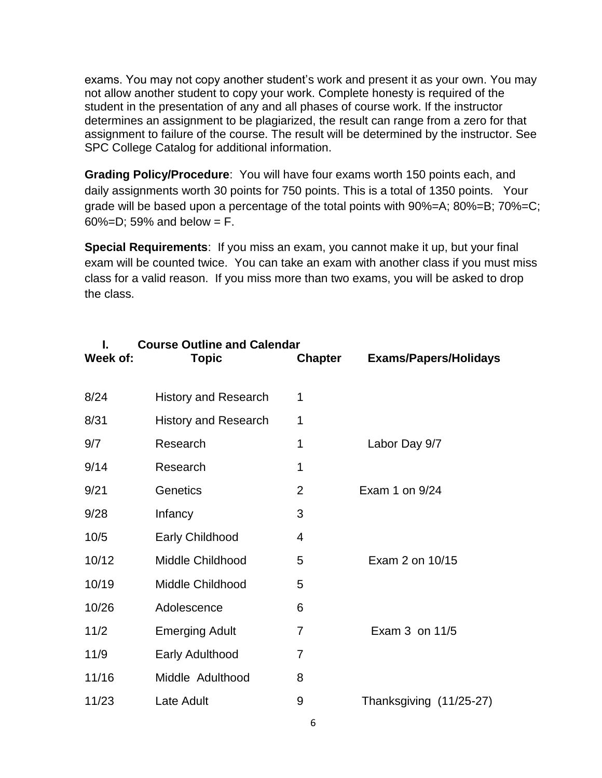exams. You may not copy another student's work and present it as your own. You may not allow another student to copy your work. Complete honesty is required of the student in the presentation of any and all phases of course work. If the instructor determines an assignment to be plagiarized, the result can range from a zero for that assignment to failure of the course. The result will be determined by the instructor. See SPC College Catalog for additional information.

**Grading Policy/Procedure**: You will have four exams worth 150 points each, and daily assignments worth 30 points for 750 points. This is a total of 1350 points. Your grade will be based upon a percentage of the total points with 90%=A; 80%=B; 70%=C; 60%=D; 59% and below =  $F$ .

**Special Requirements**: If you miss an exam, you cannot make it up, but your final exam will be counted twice. You can take an exam with another class if you must miss class for a valid reason. If you miss more than two exams, you will be asked to drop the class.

| Week of: | <b>Course Outline and Calendar</b><br><b>Topic</b> | <b>Chapter</b> | <b>Exams/Papers/Holidays</b> |
|----------|----------------------------------------------------|----------------|------------------------------|
| 8/24     | <b>History and Research</b>                        | 1              |                              |
| 8/31     | <b>History and Research</b>                        | 1              |                              |
| 9/7      | Research                                           | 1              | Labor Day 9/7                |
| 9/14     | Research                                           | 1              |                              |
| 9/21     | Genetics                                           | $\overline{2}$ | Exam 1 on 9/24               |
| 9/28     | Infancy                                            | 3              |                              |
| 10/5     | <b>Early Childhood</b>                             | 4              |                              |
| 10/12    | Middle Childhood                                   | 5              | Exam 2 on 10/15              |
| 10/19    | Middle Childhood                                   | 5              |                              |
| 10/26    | Adolescence                                        | 6              |                              |
| 11/2     | <b>Emerging Adult</b>                              | 7              | Exam 3 on 11/5               |
| 11/9     | <b>Early Adulthood</b>                             | 7              |                              |
| 11/16    | Middle Adulthood                                   | 8              |                              |
| 11/23    | Late Adult                                         | 9              | Thanksgiving (11/25-27)      |